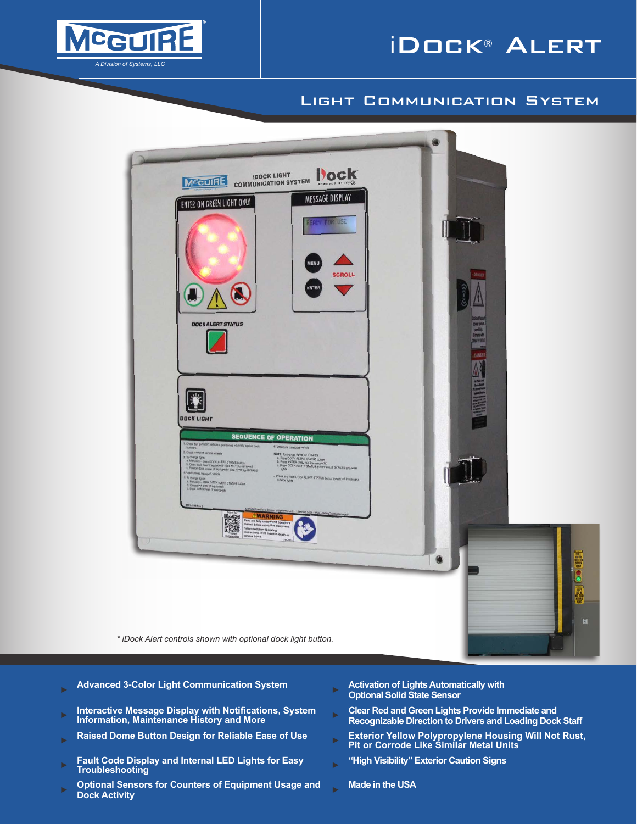



## Light Communication System



- 
- ► **Interactive Message Display with Notifications, System Information, Maintenance History and More** ► **Clear Red and Green Lights Provide Immediate and**
- 
- ► **Fault Code Display and Internal LED Lights for Easy Troubleshooting** ► **"High Visibility" Exterior Caution Signs**
- ► **Optional Sensors for Counters of Equipment Usage and Dock Activity** ► **Made in the USA**
- ► **Advanced 3-Color Light Communication System** ► **Activation of Lights Automatically with Optional Solid State Sensor**
	- **Recognizable Direction to Drivers and Loading Dock Staff**
- ► **Raised Dome Button Design for Reliable Ease of Use** ► **Exterior Yellow Polypropylene Housing Will Not Rust, Pit or Corrode Like Similar Metal Units**
	- -